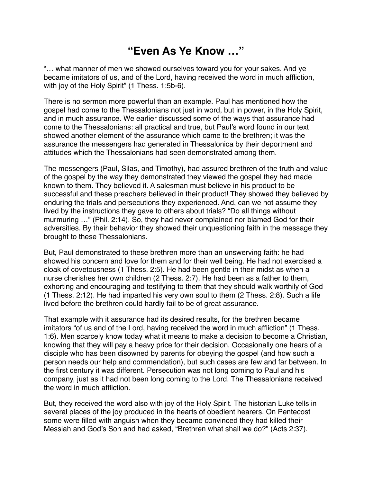## **"Even As Ye Know …"**

"… what manner of men we showed ourselves toward you for your sakes. And ye became imitators of us, and of the Lord, having received the word in much affliction, with joy of the Holy Spirit" (1 Thess. 1:5b-6).

There is no sermon more powerful than an example. Paul has mentioned how the gospel had come to the Thessalonians not just in word, but in power, in the Holy Spirit, and in much assurance. We earlier discussed some of the ways that assurance had come to the Thessalonians: all practical and true, but Paul's word found in our text showed another element of the assurance which came to the brethren; it was the assurance the messengers had generated in Thessalonica by their deportment and attitudes which the Thessalonians had seen demonstrated among them.

The messengers (Paul, Silas, and Timothy), had assured brethren of the truth and value of the gospel by the way they demonstrated they viewed the gospel they had made known to them. They believed it. A salesman must believe in his product to be successful and these preachers believed in their product! They showed they believed by enduring the trials and persecutions they experienced. And, can we not assume they lived by the instructions they gave to others about trials? "Do all things without murmuring …" (Phil. 2:14). So, they had never complained nor blamed God for their adversities. By their behavior they showed their unquestioning faith in the message they brought to these Thessalonians.

But, Paul demonstrated to these brethren more than an unswerving faith: he had showed his concern and love for them and for their well being. He had not exercised a cloak of covetousness (1 Thess. 2:5). He had been gentle in their midst as when a nurse cherishes her own children (2 Thess. 2:7). He had been as a father to them, exhorting and encouraging and testifying to them that they should walk worthily of God (1 Thess. 2:12). He had imparted his very own soul to them (2 Thess. 2:8). Such a life lived before the brethren could hardly fail to be of great assurance.

That example with it assurance had its desired results, for the brethren became imitators "of us and of the Lord, having received the word in much affliction" (1 Thess. 1:6). Men scarcely know today what it means to make a decision to become a Christian, knowing that they will pay a heavy price for their decision. Occasionally one hears of a disciple who has been disowned by parents for obeying the gospel (and how such a person needs our help and commendation), but such cases are few and far between. In the first century it was different. Persecution was not long coming to Paul and his company, just as it had not been long coming to the Lord. The Thessalonians received the word in much affliction.

But, they received the word also with joy of the Holy Spirit. The historian Luke tells in several places of the joy produced in the hearts of obedient hearers. On Pentecost some were filled with anguish when they became convinced they had killed their Messiah and God's Son and had asked, "Brethren what shall we do?" (Acts 2:37).